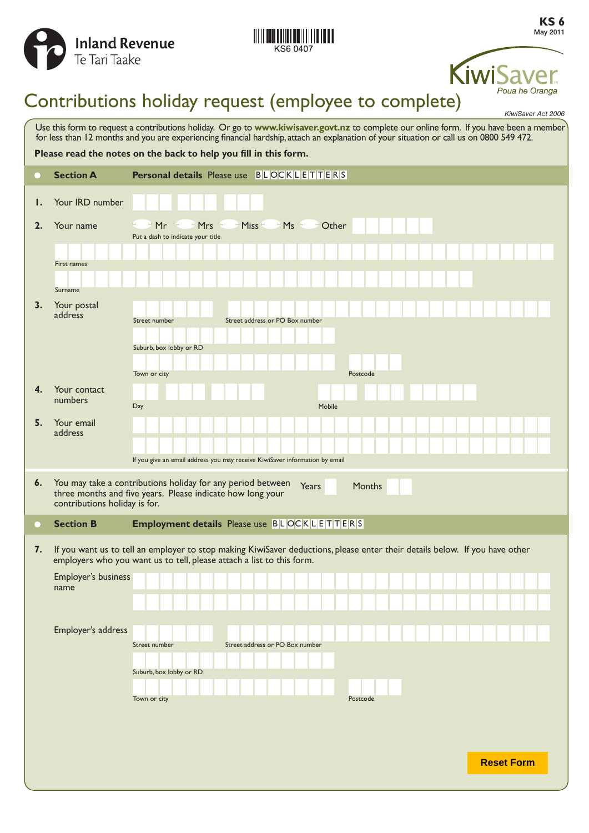



# KiwiSa Poua he Oranga

# Contributions holiday request (employee to complete)

|                                                                                                                                                                                                                                                                                     |                               | KiwiSaver Act 2006                                                                                                                                                                                   |  |
|-------------------------------------------------------------------------------------------------------------------------------------------------------------------------------------------------------------------------------------------------------------------------------------|-------------------------------|------------------------------------------------------------------------------------------------------------------------------------------------------------------------------------------------------|--|
| Use this form to request a contributions holiday. Or go to www.kiwisaver.govt.nz to complete our online form. If you have been a member<br>for less than 12 months and you are experiencing financial hardship, attach an explanation of your situation or call us on 0800 549 472. |                               |                                                                                                                                                                                                      |  |
| Please read the notes on the back to help you fill in this form.                                                                                                                                                                                                                    |                               |                                                                                                                                                                                                      |  |
| O                                                                                                                                                                                                                                                                                   | <b>Section A</b>              | <b>Personal details</b> Please use $B L OCK L E T T E R S$                                                                                                                                           |  |
| Ι.                                                                                                                                                                                                                                                                                  | Your IRD number               |                                                                                                                                                                                                      |  |
| 2.                                                                                                                                                                                                                                                                                  | Your name                     | $=$ Mrs $=$<br>Miss $=$<br>$-Ms = -$ Other<br>$Mr =$<br>Put a dash to indicate your title                                                                                                            |  |
|                                                                                                                                                                                                                                                                                     | First names<br>Surname        |                                                                                                                                                                                                      |  |
| 3.                                                                                                                                                                                                                                                                                  | Your postal<br>address        | Street address or PO Box number<br>Street number<br>Suburb, box lobby or RD                                                                                                                          |  |
|                                                                                                                                                                                                                                                                                     |                               | Town or city<br>Postcode                                                                                                                                                                             |  |
| 4.                                                                                                                                                                                                                                                                                  | Your contact<br>numbers       | Day<br>Mobile                                                                                                                                                                                        |  |
| 5.                                                                                                                                                                                                                                                                                  | Your email<br>address         |                                                                                                                                                                                                      |  |
|                                                                                                                                                                                                                                                                                     |                               | If you give an email address you may receive KiwiSaver information by email                                                                                                                          |  |
| $\boldsymbol{6}$ .                                                                                                                                                                                                                                                                  | contributions holiday is for. | You may take a contributions holiday for any period between<br><b>Years</b><br>Months<br>three months and five years. Please indicate how long your                                                  |  |
| O                                                                                                                                                                                                                                                                                   | <b>Section B</b>              | <b>Employment details</b> Please use BLOCKLETTERS                                                                                                                                                    |  |
| 7.                                                                                                                                                                                                                                                                                  |                               | If you want us to tell an employer to stop making KiwiSaver deductions, please enter their details below. If you have other<br>employers who you want us to tell, please attach a list to this form. |  |
|                                                                                                                                                                                                                                                                                     | Employer's business           |                                                                                                                                                                                                      |  |
|                                                                                                                                                                                                                                                                                     | name                          |                                                                                                                                                                                                      |  |
|                                                                                                                                                                                                                                                                                     |                               |                                                                                                                                                                                                      |  |
|                                                                                                                                                                                                                                                                                     | Employer's address            |                                                                                                                                                                                                      |  |
|                                                                                                                                                                                                                                                                                     |                               | Street address or PO Box number<br>Street number                                                                                                                                                     |  |
|                                                                                                                                                                                                                                                                                     |                               | Suburb, box lobby or RD                                                                                                                                                                              |  |
|                                                                                                                                                                                                                                                                                     |                               | Town or city<br>Postcode                                                                                                                                                                             |  |
|                                                                                                                                                                                                                                                                                     |                               |                                                                                                                                                                                                      |  |
|                                                                                                                                                                                                                                                                                     |                               |                                                                                                                                                                                                      |  |
|                                                                                                                                                                                                                                                                                     |                               | <b>Reset Form</b>                                                                                                                                                                                    |  |